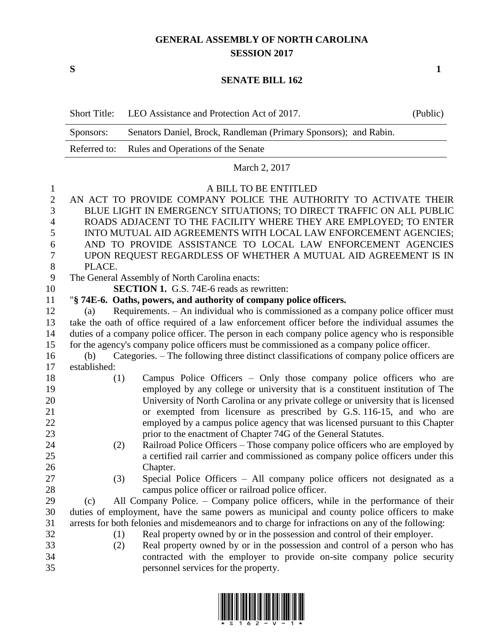## **GENERAL ASSEMBLY OF NORTH CAROLINA SESSION 2017**

**S 1**

## **SENATE BILL 162**

|                                          | <b>Short Title:</b>                                                                                                                                                                                                                  | LEO Assistance and Protection Act of 2017.                                                                                                                                                                                                                                                                                                                                                                                                                             | (Public) |  |  |
|------------------------------------------|--------------------------------------------------------------------------------------------------------------------------------------------------------------------------------------------------------------------------------------|------------------------------------------------------------------------------------------------------------------------------------------------------------------------------------------------------------------------------------------------------------------------------------------------------------------------------------------------------------------------------------------------------------------------------------------------------------------------|----------|--|--|
|                                          | Senators Daniel, Brock, Randleman (Primary Sponsors); and Rabin.<br>Sponsors:                                                                                                                                                        |                                                                                                                                                                                                                                                                                                                                                                                                                                                                        |          |  |  |
|                                          | Referred to:<br>Rules and Operations of the Senate                                                                                                                                                                                   |                                                                                                                                                                                                                                                                                                                                                                                                                                                                        |          |  |  |
|                                          | March 2, 2017                                                                                                                                                                                                                        |                                                                                                                                                                                                                                                                                                                                                                                                                                                                        |          |  |  |
| $\mathbf{1}$<br>$\overline{2}$<br>3<br>4 | A BILL TO BE ENTITLED<br>AN ACT TO PROVIDE COMPANY POLICE THE AUTHORITY TO ACTIVATE THEIR<br>BLUE LIGHT IN EMERGENCY SITUATIONS; TO DIRECT TRAFFIC ON ALL PUBLIC<br>ROADS ADJACENT TO THE FACILITY WHERE THEY ARE EMPLOYED; TO ENTER |                                                                                                                                                                                                                                                                                                                                                                                                                                                                        |          |  |  |
| 5<br>6                                   | INTO MUTUAL AID AGREEMENTS WITH LOCAL LAW ENFORCEMENT AGENCIES;<br>AND TO PROVIDE ASSISTANCE TO LOCAL LAW ENFORCEMENT AGENCIES                                                                                                       |                                                                                                                                                                                                                                                                                                                                                                                                                                                                        |          |  |  |
| 7                                        | UPON REQUEST REGARDLESS OF WHETHER A MUTUAL AID AGREEMENT IS IN                                                                                                                                                                      |                                                                                                                                                                                                                                                                                                                                                                                                                                                                        |          |  |  |
| $8\,$<br>9                               | PLACE.<br>The General Assembly of North Carolina enacts:                                                                                                                                                                             |                                                                                                                                                                                                                                                                                                                                                                                                                                                                        |          |  |  |
| 10                                       | <b>SECTION 1.</b> G.S. 74E-6 reads as rewritten:                                                                                                                                                                                     |                                                                                                                                                                                                                                                                                                                                                                                                                                                                        |          |  |  |
| 11                                       |                                                                                                                                                                                                                                      | "§ 74E-6. Oaths, powers, and authority of company police officers.                                                                                                                                                                                                                                                                                                                                                                                                     |          |  |  |
| 12                                       | (a)                                                                                                                                                                                                                                  | Requirements. - An individual who is commissioned as a company police officer must                                                                                                                                                                                                                                                                                                                                                                                     |          |  |  |
| 13                                       | take the oath of office required of a law enforcement officer before the individual assumes the                                                                                                                                      |                                                                                                                                                                                                                                                                                                                                                                                                                                                                        |          |  |  |
| 14                                       | duties of a company police officer. The person in each company police agency who is responsible                                                                                                                                      |                                                                                                                                                                                                                                                                                                                                                                                                                                                                        |          |  |  |
| 15                                       | for the agency's company police officers must be commissioned as a company police officer.                                                                                                                                           |                                                                                                                                                                                                                                                                                                                                                                                                                                                                        |          |  |  |
| 16                                       | (b)                                                                                                                                                                                                                                  | Categories. - The following three distinct classifications of company police officers are                                                                                                                                                                                                                                                                                                                                                                              |          |  |  |
| 17                                       | established:                                                                                                                                                                                                                         |                                                                                                                                                                                                                                                                                                                                                                                                                                                                        |          |  |  |
| 18<br>19<br>20<br>21<br>22<br>23         | (1)                                                                                                                                                                                                                                  | Campus Police Officers - Only those company police officers who are<br>employed by any college or university that is a constituent institution of The<br>University of North Carolina or any private college or university that is licensed<br>or exempted from licensure as prescribed by G.S. 116-15, and who are<br>employed by a campus police agency that was licensed pursuant to this Chapter<br>prior to the enactment of Chapter 74G of the General Statutes. |          |  |  |
| 24<br>25<br>26<br>27                     | (2)<br>(3)                                                                                                                                                                                                                           | Railroad Police Officers - Those company police officers who are employed by<br>a certified rail carrier and commissioned as company police officers under this<br>Chapter.<br>Special Police Officers – All company police officers not designated as a                                                                                                                                                                                                               |          |  |  |
| 28                                       |                                                                                                                                                                                                                                      | campus police officer or railroad police officer.                                                                                                                                                                                                                                                                                                                                                                                                                      |          |  |  |
| 29                                       | (c)                                                                                                                                                                                                                                  | All Company Police. – Company police officers, while in the performance of their                                                                                                                                                                                                                                                                                                                                                                                       |          |  |  |
| 30                                       | duties of employment, have the same powers as municipal and county police officers to make                                                                                                                                           |                                                                                                                                                                                                                                                                                                                                                                                                                                                                        |          |  |  |
| 31                                       | arrests for both felonies and misdemeanors and to charge for infractions on any of the following:                                                                                                                                    |                                                                                                                                                                                                                                                                                                                                                                                                                                                                        |          |  |  |
| 32                                       | (1)                                                                                                                                                                                                                                  | Real property owned by or in the possession and control of their employer.                                                                                                                                                                                                                                                                                                                                                                                             |          |  |  |
| 33                                       | (2)                                                                                                                                                                                                                                  | Real property owned by or in the possession and control of a person who has                                                                                                                                                                                                                                                                                                                                                                                            |          |  |  |
| 34                                       |                                                                                                                                                                                                                                      | contracted with the employer to provide on-site company police security                                                                                                                                                                                                                                                                                                                                                                                                |          |  |  |
| 35                                       |                                                                                                                                                                                                                                      | personnel services for the property.                                                                                                                                                                                                                                                                                                                                                                                                                                   |          |  |  |